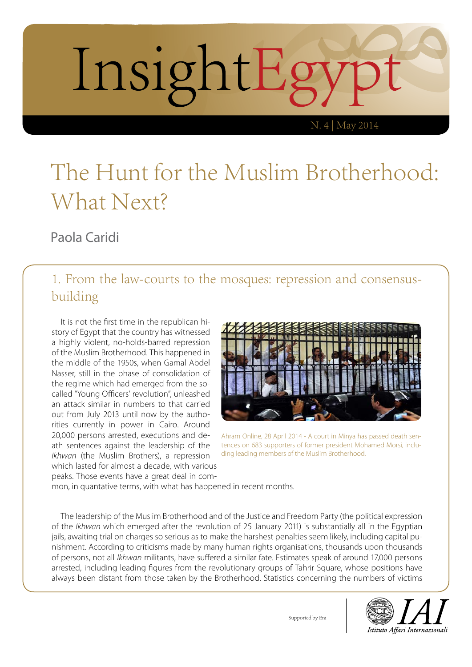

#### The Hunt for the Muslim Brotherhood: What Next?

Paola Caridi

#### 1. From the law-courts to the mosques: repression and consensusbuilding

It is not the first time in the republican history of Egypt that the country has witnessed a highly violent, no-holds-barred repression of the Muslim Brotherhood. This happened in the middle of the 1950s, when Gamal Abdel Nasser, still in the phase of consolidation of the regime which had emerged from the socalled "Young Officers' revolution", unleashed an attack similar in numbers to that carried out from July 2013 until now by the authorities currently in power in Cairo. Around 20,000 persons arrested, executions and death sentences against the leadership of the *Ikhwan* (the Muslim Brothers), a repression which lasted for almost a decade, with various peaks. Those events have a great deal in com-



Ahram Online, 28 April 2014 - A court in Minya has passed death sentences on 683 supporters of former president Mohamed Morsi, including leading members of the Muslim Brotherhood.

mon, in quantative terms, with what has happened in recent months.

The leadership of the Muslim Brotherhood and of the Justice and Freedom Party (the political expression of the *Ikhwan* which emerged after the revolution of 25 January 2011) is substantially all in the Egyptian jails, awaiting trial on charges so serious as to make the harshest penalties seem likely, including capital punishment. According to criticisms made by many human rights organisations, thousands upon thousands of persons, not all *Ikhwan* militants, have suffered a similar fate. Estimates speak of around 17,000 persons arrested, including leading figures from the revolutionary groups of Tahrir Square, whose positions have always been distant from those taken by the Brotherhood. Statistics concerning the numbers of victims



Supported by Eni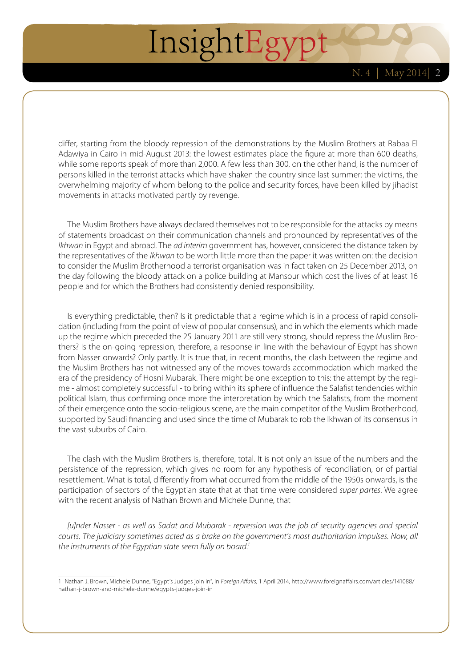differ, starting from the bloody repression of the demonstrations by the Muslim Brothers at Rabaa El Adawiya in Cairo in mid-August 2013: the lowest estimates place the figure at more than 600 deaths, while some reports speak of more than 2,000. A few less than 300, on the other hand, is the number of persons killed in the terrorist attacks which have shaken the country since last summer: the victims, the overwhelming majority of whom belong to the police and security forces, have been killed by jihadist movements in attacks motivated partly by revenge.

The Muslim Brothers have always declared themselves not to be responsible for the attacks by means of statements broadcast on their communication channels and pronounced by representatives of the *Ikhwan* in Egypt and abroad. The *ad interim* government has, however, considered the distance taken by the representatives of the *Ikhwan* to be worth little more than the paper it was written on: the decision to consider the Muslim Brotherhood a terrorist organisation was in fact taken on 25 December 2013, on the day following the bloody attack on a police building at Mansour which cost the lives of at least 16 people and for which the Brothers had consistently denied responsibility.

Is everything predictable, then? Is it predictable that a regime which is in a process of rapid consolidation (including from the point of view of popular consensus), and in which the elements which made up the regime which preceded the 25 January 2011 are still very strong, should repress the Muslim Brothers? Is the on-going repression, therefore, a response in line with the behaviour of Egypt has shown from Nasser onwards? Only partly. It is true that, in recent months, the clash between the regime and the Muslim Brothers has not witnessed any of the moves towards accommodation which marked the era of the presidency of Hosni Mubarak. There might be one exception to this: the attempt by the regime - almost completely successful - to bring within its sphere of influence the Salafist tendencies within political Islam, thus confirming once more the interpretation by which the Salafists, from the moment of their emergence onto the socio-religious scene, are the main competitor of the Muslim Brotherhood, supported by Saudi financing and used since the time of Mubarak to rob the Ikhwan of its consensus in the vast suburbs of Cairo.

The clash with the Muslim Brothers is, therefore, total. It is not only an issue of the numbers and the persistence of the repression, which gives no room for any hypothesis of reconciliation, or of partial resettlement. What is total, differently from what occurred from the middle of the 1950s onwards, is the participation of sectors of the Egyptian state that at that time were considered *super partes*. We agree with the recent analysis of Nathan Brown and Michele Dunne, that

*[u]nder Nasser - as well as Sadat and Mubarak - repression was the job of security agencies and special courts. The judiciary sometimes acted as a brake on the government's most authoritarian impulses. Now, all the instruments of the Egyptian state seem fully on board.1*

<sup>1</sup> Nathan J. Brown, Michele Dunne, "Egypt's Judges join in", in *Foreign Affairs*, 1 April 2014, [http://www.foreignaffairs.com/articles/141088/](http://www.foreignaffairs.com/articles/141088/nathan-j-brown-and-michele-dunne/egypts-judges-join-in) [nathan-j-brown-and-michele-dunne/egypts-judges-join-in](http://www.foreignaffairs.com/articles/141088/nathan-j-brown-and-michele-dunne/egypts-judges-join-in)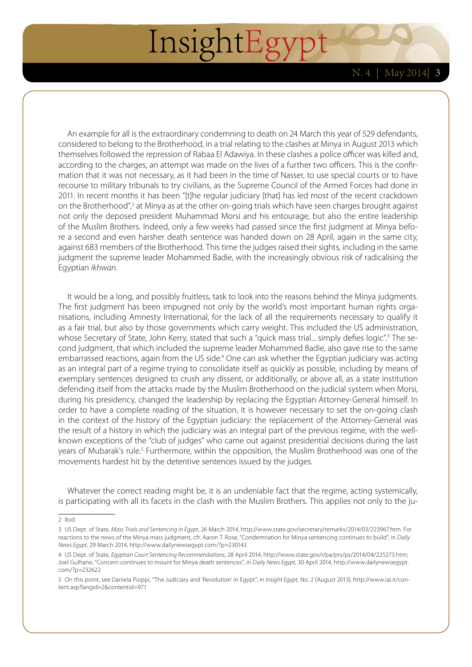An example for all is the extraordinary condemning to death on 24 March this year of 529 defendants, considered to belong to the Brotherhood, in a trial relating to the clashes at Minya in August 2013 which themselves followed the repression of Rabaa El Adawiya. In these clashes a police officer was killed and, according to the charges, an attempt was made on the lives of a further two officers. This is the confirmation that it was not necessary, as it had been in the time of Nasser, to use special courts or to have recourse to military tribunals to try civilians, as the Supreme Council of the Armed Forces had done in 2011. In recent months it has been "[t]he regular judiciary [that] has led most of the recent crackdown on the Brotherhood",<sup>2</sup> at Minya as at the other on-going trials which have seen charges brought against not only the deposed president Muhammad Morsi and his entourage, but also the entire leadership of the Muslim Brothers. Indeed, only a few weeks had passed since the first judgment at Minya before a second and even harsher death sentence was handed down on 28 April, again in the same city, against 683 members of the Brotherhood. This time the judges raised their sights, including in the same judgment the supreme leader Mohammed Badie, with the increasingly obvious risk of radicalising the Egyptian *Ikhwan*.

It would be a long, and possibly fruitless, task to look into the reasons behind the Minya judgments. The first judgment has been impugned not only by the world's most important human rights organisations, including Amnesty International, for the lack of all the requirements necessary to qualify it as a fair trial, but also by those governments which carry weight. This included the US administration, whose Secretary of State, John Kerry, stated that such a "quick mass trial... simply defies logic".3 The second judgment, that which included the supreme leader Mohammed Badie, also gave rise to the same embarrassed reactions, again from the US side.<sup>4</sup> One can ask whether the Egyptian judiciary was acting as an integral part of a regime trying to consolidate itself as quickly as possible, including by means of exemplary sentences designed to crush any dissent, or additionally, or above all, as a state institution defending itself from the attacks made by the Muslim Brotherhood on the judicial system when Morsi, during his presidency, changed the leadership by replacing the Egyptian Attorney-General himself. In order to have a complete reading of the situation, it is however necessary to set the on-going clash in the context of the history of the Egyptian judiciary: the replacement of the Attorney-General was the result of a history in which the judiciary was an integral part of the previous regime, with the wellknown exceptions of the "club of judges" who came out against presidential decisions during the last years of Mubarak's rule.<sup>5</sup> Furthermore, within the opposition, the Muslim Brotherhood was one of the movements hardest hit by the detentive sentences issued by the judges.

Whatever the correct reading might be, it is an undeniable fact that the regime, acting systemically, is participating with all its facets in the clash with the Muslim Brothers. This applies not only to the ju-

2 Ibid.

<sup>3</sup> US Dept. of State, *Mass Trials and Sentencing in Egypt*, 26 March 2014, http://www.state.gov/secretary/remarks/2014/03/223967.htm. For reactions to the news of the Minya mass judgment, cfr. Aaron T. Rose, "Condemnation for Minya sentencing continues to build", in *Daily News Egypt*, 29 March 2014, http://www.dailynewsegypt.com/?p=230143

<sup>4</sup> US Dept. of State, *Egyptian Court Sentencing Recommendations*, 28 April 2014,<http://www.state.gov/r/pa/prs/ps/2014/04/225273.htm>; Joel Gulhane, "Concern continues to mount for Minya death sentences", in *Daily News Egypt*, 30 April 2014, [http://www.dailynewsegypt.](http://www.dailynewsegypt.com/?p=232622) [com/?p=232622](http://www.dailynewsegypt.com/?p=232622)

<sup>5</sup> On this point, see Daniela Pioppi, "The Judiciary and 'Revolution' in Egypt", in *Insight Egypt,* No. 2 (August 2013), [http://www.iai.it/con](http://www.iai.it/content.asp?langid=2&contentid=971)[tent.asp?langid=2&contentid=971](http://www.iai.it/content.asp?langid=2&contentid=971)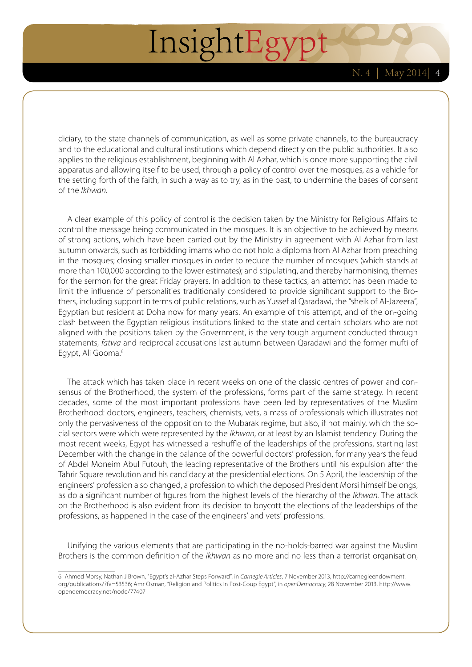diciary, to the state channels of communication, as well as some private channels, to the bureaucracy and to the educational and cultural institutions which depend directly on the public authorities. It also applies to the religious establishment, beginning with Al Azhar, which is once more supporting the civil apparatus and allowing itself to be used, through a policy of control over the mosques, as a vehicle for the setting forth of the faith, in such a way as to try, as in the past, to undermine the bases of consent of the *Ikhwan*.

A clear example of this policy of control is the decision taken by the Ministry for Religious Affairs to control the message being communicated in the mosques. It is an objective to be achieved by means of strong actions, which have been carried out by the Ministry in agreement with Al Azhar from last autumn onwards, such as forbidding imams who do not hold a diploma from Al Azhar from preaching in the mosques; closing smaller mosques in order to reduce the number of mosques (which stands at more than 100,000 according to the lower estimates); and stipulating, and thereby harmonising, themes for the sermon for the great Friday prayers. In addition to these tactics, an attempt has been made to limit the influence of personalities traditionally considered to provide significant support to the Brothers, including support in terms of public relations, such as Yussef al Qaradawi, the "sheik of Al-Jazeera", Egyptian but resident at Doha now for many years. An example of this attempt, and of the on-going clash between the Egyptian religious institutions linked to the state and certain scholars who are not aligned with the positions taken by the Government, is the very tough argument conducted through statements, *fatwa* and reciprocal accusations last autumn between Qaradawi and the former mufti of Egypt, Ali Gooma.<sup>6</sup>

The attack which has taken place in recent weeks on one of the classic centres of power and consensus of the Brotherhood, the system of the professions, forms part of the same strategy. In recent decades, some of the most important professions have been led by representatives of the Muslim Brotherhood: doctors, engineers, teachers, chemists, vets, a mass of professionals which illustrates not only the pervasiveness of the opposition to the Mubarak regime, but also, if not mainly, which the social sectors were which were represented by the *Ikhwan*, or at least by an Islamist tendency. During the most recent weeks, Egypt has witnessed a reshuffle of the leaderships of the professions, starting last December with the change in the balance of the powerful doctors' profession, for many years the feud of Abdel Moneim Abul Futouh, the leading representative of the Brothers until his expulsion after the Tahrir Square revolution and his candidacy at the presidential elections. On 5 April, the leadership of the engineers' profession also changed, a profession to which the deposed President Morsi himself belongs, as do a significant number of figures from the highest levels of the hierarchy of the *Ikhwan*. The attack on the Brotherhood is also evident from its decision to boycott the elections of the leaderships of the professions, as happened in the case of the engineers' and vets' professions.

Unifying the various elements that are participating in the no-holds-barred war against the Muslim Brothers is the common definition of the *Ikhwan* as no more and no less than a terrorist organisation,

<sup>6</sup> Ahmed Morsy, Nathan J Brown, "Egypt's al-Azhar Steps Forward", in *Carnegie Articles*, 7 November 2013, [http://carnegieendowment.](http://carnegieendowment.org/publications/?fa=53536) [org/publications/?fa=53536](http://carnegieendowment.org/publications/?fa=53536); Amr Osman, "Religion and Politics in Post-Coup Egypt", in *openDemocracy*, 28 November 2013, [http://www.](http://www.opendemocracy.net/node/77407) [opendemocracy.net/node/77407](http://www.opendemocracy.net/node/77407)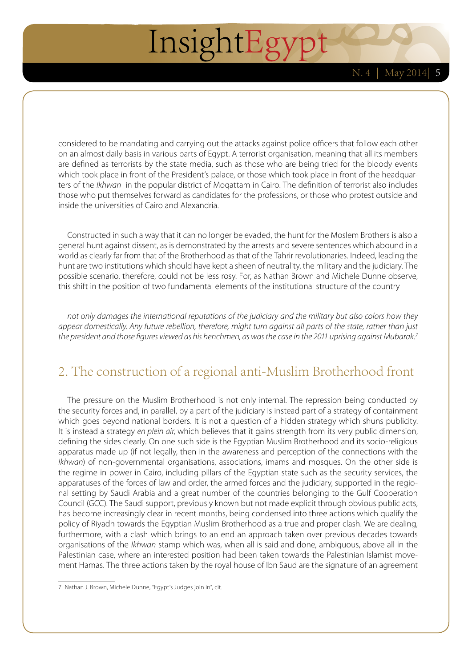considered to be mandating and carrying out the attacks against police officers that follow each other on an almost daily basis in various parts of Egypt. A terrorist organisation, meaning that all its members are defined as terrorists by the state media, such as those who are being tried for the bloody events which took place in front of the President's palace, or those which took place in front of the headquarters of the *Ikhwan* in the popular district of Moqattam in Cairo. The definition of terrorist also includes those who put themselves forward as candidates for the professions, or those who protest outside and inside the universities of Cairo and Alexandria.

Constructed in such a way that it can no longer be evaded, the hunt for the Moslem Brothers is also a general hunt against dissent, as is demonstrated by the arrests and severe sentences which abound in a world as clearly far from that of the Brotherhood as that of the Tahrir revolutionaries. Indeed, leading the hunt are two institutions which should have kept a sheen of neutrality, the military and the judiciary. The possible scenario, therefore, could not be less rosy. For, as Nathan Brown and Michele Dunne observe, this shift in the position of two fundamental elements of the institutional structure of the country

*not only damages the international reputations of the judiciary and the military but also colors how they appear domestically. Any future rebellion, therefore, might turn against all parts of the state, rather than just the president and those figures viewed as his henchmen, as was the case in the 2011 uprising against Mubarak.7*

#### 2. The construction of a regional anti-Muslim Brotherhood front

The pressure on the Muslim Brotherhood is not only internal. The repression being conducted by the security forces and, in parallel, by a part of the judiciary is instead part of a strategy of containment which goes beyond national borders. It is not a question of a hidden strategy which shuns publicity. It is instead a strategy *en plein air*, which believes that it gains strength from its very public dimension, defining the sides clearly. On one such side is the Egyptian Muslim Brotherhood and its socio-religious apparatus made up (if not legally, then in the awareness and perception of the connections with the *Ikhwan*) of non-governmental organisations, associations, imams and mosques. On the other side is the regime in power in Cairo, including pillars of the Egyptian state such as the security services, the apparatuses of the forces of law and order, the armed forces and the judiciary, supported in the regional setting by Saudi Arabia and a great number of the countries belonging to the Gulf Cooperation Council (GCC). The Saudi support, previously known but not made explicit through obvious public acts, has become increasingly clear in recent months, being condensed into three actions which qualify the policy of Riyadh towards the Egyptian Muslim Brotherhood as a true and proper clash. We are dealing, furthermore, with a clash which brings to an end an approach taken over previous decades towards organisations of the *Ikhwan* stamp which was, when all is said and done, ambiguous, above all in the Palestinian case, where an interested position had been taken towards the Palestinian Islamist movement Hamas. The three actions taken by the royal house of Ibn Saud are the signature of an agreement

<sup>7</sup> Nathan J. Brown, Michele Dunne, "Egypt's Judges join in", cit.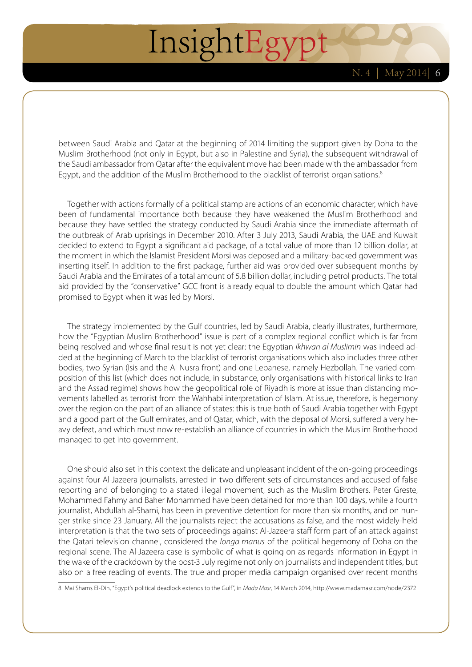between Saudi Arabia and Qatar at the beginning of 2014 limiting the support given by Doha to the Muslim Brotherhood (not only in Egypt, but also in Palestine and Syria), the subsequent withdrawal of the Saudi ambassador from Qatar after the equivalent move had been made with the ambassador from Egypt, and the addition of the Muslim Brotherhood to the blacklist of terrorist organisations. $8$ 

Together with actions formally of a political stamp are actions of an economic character, which have been of fundamental importance both because they have weakened the Muslim Brotherhood and because they have settled the strategy conducted by Saudi Arabia since the immediate aftermath of the outbreak of Arab uprisings in December 2010. After 3 July 2013, Saudi Arabia, the UAE and Kuwait decided to extend to Egypt a significant aid package, of a total value of more than 12 billion dollar, at the moment in which the Islamist President Morsi was deposed and a military-backed government was inserting itself. In addition to the first package, further aid was provided over subsequent months by Saudi Arabia and the Emirates of a total amount of 5.8 billion dollar, including petrol products. The total aid provided by the "conservative" GCC front is already equal to double the amount which Qatar had promised to Egypt when it was led by Morsi.

The strategy implemented by the Gulf countries, led by Saudi Arabia, clearly illustrates, furthermore, how the "Egyptian Muslim Brotherhood" issue is part of a complex regional conflict which is far from being resolved and whose final result is not yet clear: the Egyptian *Ikhwan al Muslimin* was indeed added at the beginning of March to the blacklist of terrorist organisations which also includes three other bodies, two Syrian (Isis and the Al Nusra front) and one Lebanese, namely Hezbollah. The varied composition of this list (which does not include, in substance, only organisations with historical links to Iran and the Assad regime) shows how the geopolitical role of Riyadh is more at issue than distancing movements labelled as terrorist from the Wahhabi interpretation of Islam. At issue, therefore, is hegemony over the region on the part of an alliance of states: this is true both of Saudi Arabia together with Egypt and a good part of the Gulf emirates, and of Qatar, which, with the deposal of Morsi, suffered a very heavy defeat, and which must now re-establish an alliance of countries in which the Muslim Brotherhood managed to get into government.

One should also set in this context the delicate and unpleasant incident of the on-going proceedings against four Al-Jazeera journalists, arrested in two different sets of circumstances and accused of false reporting and of belonging to a stated illegal movement, such as the Muslim Brothers. Peter Greste, Mohammed Fahmy and Baher Mohammed have been detained for more than 100 days, while a fourth journalist, Abdullah al-Shami, has been in preventive detention for more than six months, and on hunger strike since 23 January. All the journalists reject the accusations as false, and the most widely-held interpretation is that the two sets of proceedings against Al-Jazeera staff form part of an attack against the Qatari television channel, considered the *longa manus* of the political hegemony of Doha on the regional scene. The Al-Jazeera case is symbolic of what is going on as regards information in Egypt in the wake of the crackdown by the post-3 July regime not only on journalists and independent titles, but also on a free reading of events. The true and proper media campaign organised over recent months

8 Mai Shams El-Din, "Egypt's political deadlock extends to the Gulf", in *Mada Masr*, 14 March 2014,<http://www.madamasr.com/node/2372>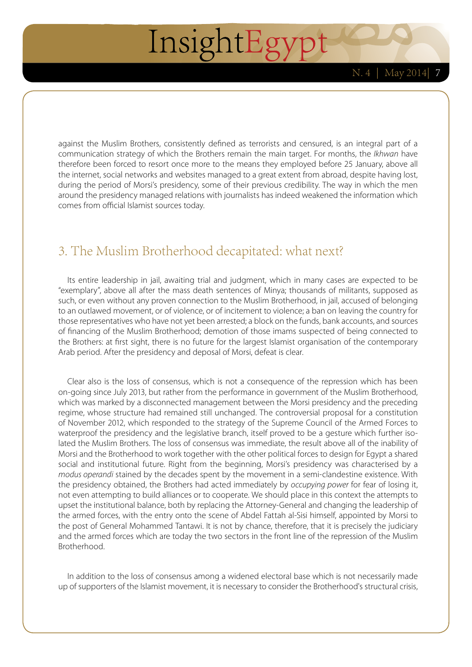against the Muslim Brothers, consistently defined as terrorists and censured, is an integral part of a communication strategy of which the Brothers remain the main target. For months, the *Ikhwan* have therefore been forced to resort once more to the means they employed before 25 January, above all the internet, social networks and websites managed to a great extent from abroad, despite having lost, during the period of Morsi's presidency, some of their previous credibility. The way in which the men around the presidency managed relations with journalists has indeed weakened the information which comes from official Islamist sources today.

#### 3. The Muslim Brotherhood decapitated: what next?

Its entire leadership in jail, awaiting trial and judgment, which in many cases are expected to be "exemplary", above all after the mass death sentences of Minya; thousands of militants, supposed as such, or even without any proven connection to the Muslim Brotherhood, in jail, accused of belonging to an outlawed movement, or of violence, or of incitement to violence; a ban on leaving the country for those representatives who have not yet been arrested; a block on the funds, bank accounts, and sources of financing of the Muslim Brotherhood; demotion of those imams suspected of being connected to the Brothers: at first sight, there is no future for the largest Islamist organisation of the contemporary Arab period. After the presidency and deposal of Morsi, defeat is clear.

Clear also is the loss of consensus, which is not a consequence of the repression which has been on-going since July 2013, but rather from the performance in government of the Muslim Brotherhood, which was marked by a disconnected management between the Morsi presidency and the preceding regime, whose structure had remained still unchanged. The controversial proposal for a constitution of November 2012, which responded to the strategy of the Supreme Council of the Armed Forces to waterproof the presidency and the legislative branch, itself proved to be a gesture which further isolated the Muslim Brothers. The loss of consensus was immediate, the result above all of the inability of Morsi and the Brotherhood to work together with the other political forces to design for Egypt a shared social and institutional future. Right from the beginning, Morsi's presidency was characterised by a *modus operandi* stained by the decades spent by the movement in a semi-clandestine existence. With the presidency obtained, the Brothers had acted immediately by *occupying power* for fear of losing it, not even attempting to build alliances or to cooperate. We should place in this context the attempts to upset the institutional balance, both by replacing the Attorney-General and changing the leadership of the armed forces, with the entry onto the scene of Abdel Fattah al-Sisi himself, appointed by Morsi to the post of General Mohammed Tantawi. It is not by chance, therefore, that it is precisely the judiciary and the armed forces which are today the two sectors in the front line of the repression of the Muslim Brotherhood.

In addition to the loss of consensus among a widened electoral base which is not necessarily made up of supporters of the Islamist movement, it is necessary to consider the Brotherhood's structural crisis,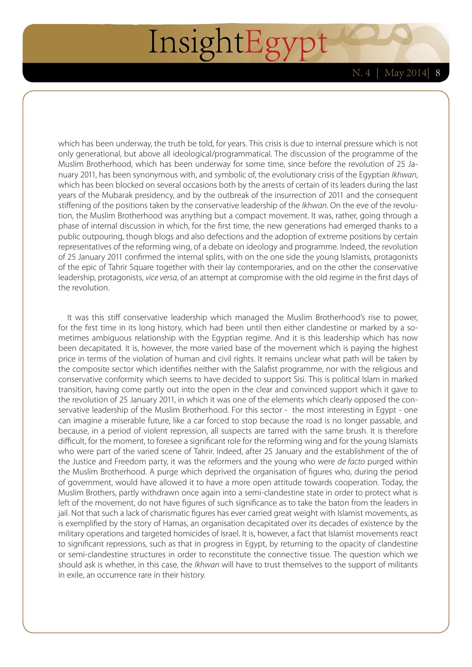which has been underway, the truth be told, for years. This crisis is due to internal pressure which is not only generational, but above all ideological/programmatical. The discussion of the programme of the Muslim Brotherhood, which has been underway for some time, since before the revolution of 25 January 2011, has been synonymous with, and symbolic of, the evolutionary crisis of the Egyptian *Ikhwan*, which has been blocked on several occasions both by the arrests of certain of its leaders during the last years of the Mubarak presidency, and by the outbreak of the insurrection of 2011 and the consequent stiffening of the positions taken by the conservative leadership of the *Ikhwan*. On the eve of the revolution, the Muslim Brotherhood was anything but a compact movement. It was, rather, going through a phase of internal discussion in which, for the first time, the new generations had emerged thanks to a public outpouring, though blogs and also defections and the adoption of extreme positions by certain representatives of the reforming wing, of a debate on ideology and programme. Indeed, the revolution of 25 January 2011 confirmed the internal splits, with on the one side the young Islamists, protagonists of the epic of Tahrir Square together with their lay contemporaries, and on the other the conservative leadership, protagonists, *vice versa*, of an attempt at compromise with the old regime in the first days of the revolution.

It was this stiff conservative leadership which managed the Muslim Brotherhood's rise to power, for the first time in its long history, which had been until then either clandestine or marked by a sometimes ambiguous relationship with the Egyptian regime. And it is this leadership which has now been decapitated. It is, however, the more varied base of the movement which is paying the highest price in terms of the violation of human and civil rights. It remains unclear what path will be taken by the composite sector which identifies neither with the Salafist programme, nor with the religious and conservative conformity which seems to have decided to support Sisi. This is political Islam in marked transition, having come partly out into the open in the clear and convinced support which it gave to the revolution of 25 January 2011, in which it was one of the elements which clearly opposed the conservative leadership of the Muslim Brotherhood. For this sector - the most interesting in Egypt - one can imagine a miserable future, like a car forced to stop because the road is no longer passable, and because, in a period of violent repression, all suspects are tarred with the same brush. It is therefore difficult, for the moment, to foresee a significant role for the reforming wing and for the young Islamists who were part of the varied scene of Tahrir. Indeed, after 25 January and the establishment of the of the Justice and Freedom party, it was the reformers and the young who were *de facto* purged within the Muslim Brotherhood. A purge which deprived the organisation of figures who, during the period of government, would have allowed it to have a more open attitude towards cooperation. Today, the Muslim Brothers, partly withdrawn once again into a semi-clandestine state in order to protect what is left of the movement, do not have figures of such significance as to take the baton from the leaders in jail. Not that such a lack of charismatic figures has ever carried great weight with Islamist movements, as is exemplified by the story of Hamas, an organisation decapitated over its decades of existence by the military operations and targeted homicides of Israel. It is, however, a fact that Islamist movements react to significant repressions, such as that in progress in Egypt, by returning to the opacity of clandestine or semi-clandestine structures in order to reconstitute the connective tissue. The question which we should ask is whether, in this case, the *Ikhwan* will have to trust themselves to the support of militants in exile, an occurrence rare in their history.